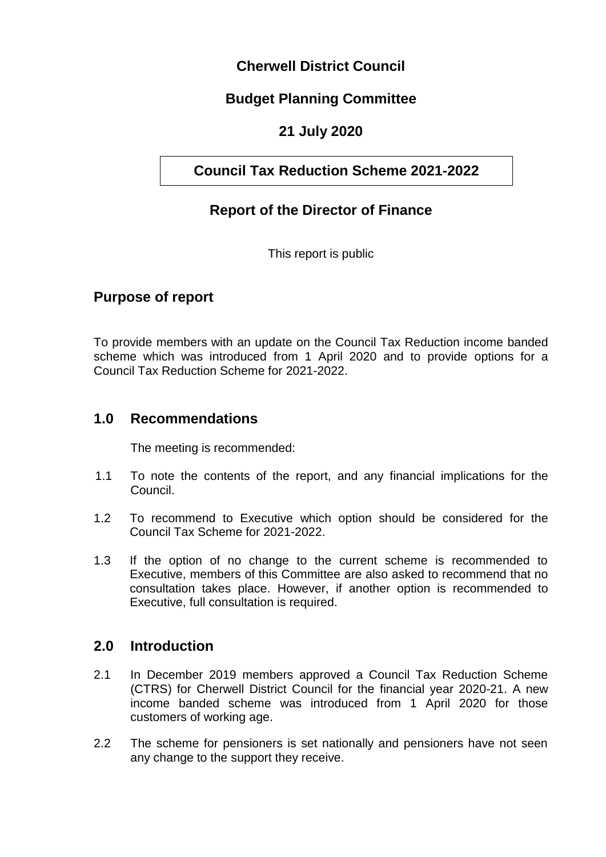# **Cherwell District Council**

# **Budget Planning Committee**

# **21 July 2020**

# **Council Tax Reduction Scheme 2021-2022**

# **Report of the Director of Finance**

This report is public

# **Purpose of report**

To provide members with an update on the Council Tax Reduction income banded scheme which was introduced from 1 April 2020 and to provide options for a Council Tax Reduction Scheme for 2021-2022.

### **1.0 Recommendations**

The meeting is recommended:

- 1.1 To note the contents of the report, and any financial implications for the Council.
- 1.2 To recommend to Executive which option should be considered for the Council Tax Scheme for 2021-2022.
- 1.3 If the option of no change to the current scheme is recommended to Executive, members of this Committee are also asked to recommend that no consultation takes place. However, if another option is recommended to Executive, full consultation is required.

### **2.0 Introduction**

- 2.1 In December 2019 members approved a Council Tax Reduction Scheme (CTRS) for Cherwell District Council for the financial year 2020-21. A new income banded scheme was introduced from 1 April 2020 for those customers of working age.
- 2.2 The scheme for pensioners is set nationally and pensioners have not seen any change to the support they receive.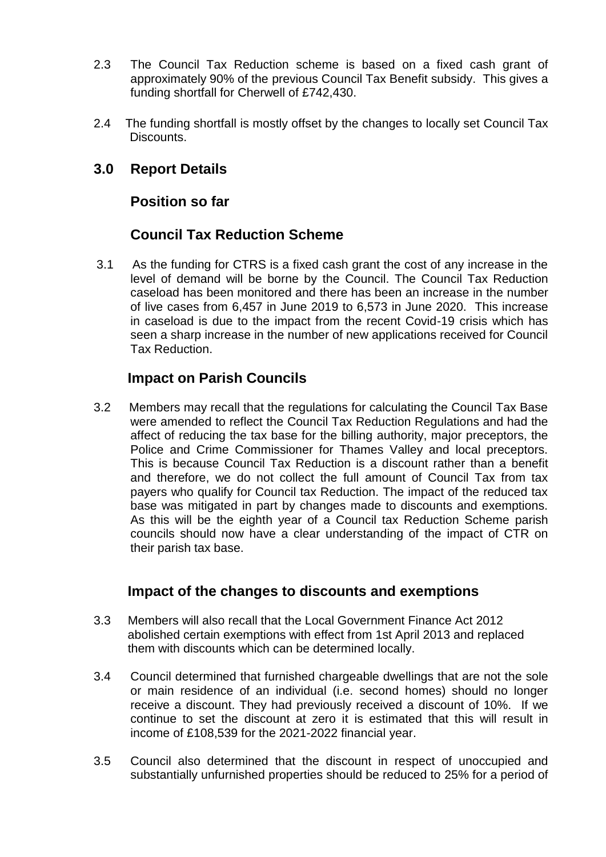- 2.3 The Council Tax Reduction scheme is based on a fixed cash grant of approximately 90% of the previous Council Tax Benefit subsidy. This gives a funding shortfall for Cherwell of £742,430.
- 2.4 The funding shortfall is mostly offset by the changes to locally set Council Tax Discounts.

# **3.0 Report Details**

### **Position so far**

# **Council Tax Reduction Scheme**

3.1 As the funding for CTRS is a fixed cash grant the cost of any increase in the level of demand will be borne by the Council. The Council Tax Reduction caseload has been monitored and there has been an increase in the number of live cases from 6,457 in June 2019 to 6,573 in June 2020. This increase in caseload is due to the impact from the recent Covid-19 crisis which has seen a sharp increase in the number of new applications received for Council Tax Reduction.

### **Impact on Parish Councils**

3.2 Members may recall that the regulations for calculating the Council Tax Base were amended to reflect the Council Tax Reduction Regulations and had the affect of reducing the tax base for the billing authority, major preceptors, the Police and Crime Commissioner for Thames Valley and local preceptors. This is because Council Tax Reduction is a discount rather than a benefit and therefore, we do not collect the full amount of Council Tax from tax payers who qualify for Council tax Reduction. The impact of the reduced tax base was mitigated in part by changes made to discounts and exemptions. As this will be the eighth year of a Council tax Reduction Scheme parish councils should now have a clear understanding of the impact of CTR on their parish tax base.

### **Impact of the changes to discounts and exemptions**

- 3.3 Members will also recall that the Local Government Finance Act 2012 abolished certain exemptions with effect from 1st April 2013 and replaced them with discounts which can be determined locally.
- 3.4 Council determined that furnished chargeable dwellings that are not the sole or main residence of an individual (i.e. second homes) should no longer receive a discount. They had previously received a discount of 10%. If we continue to set the discount at zero it is estimated that this will result in income of £108,539 for the 2021-2022 financial year.
- 3.5 Council also determined that the discount in respect of unoccupied and substantially unfurnished properties should be reduced to 25% for a period of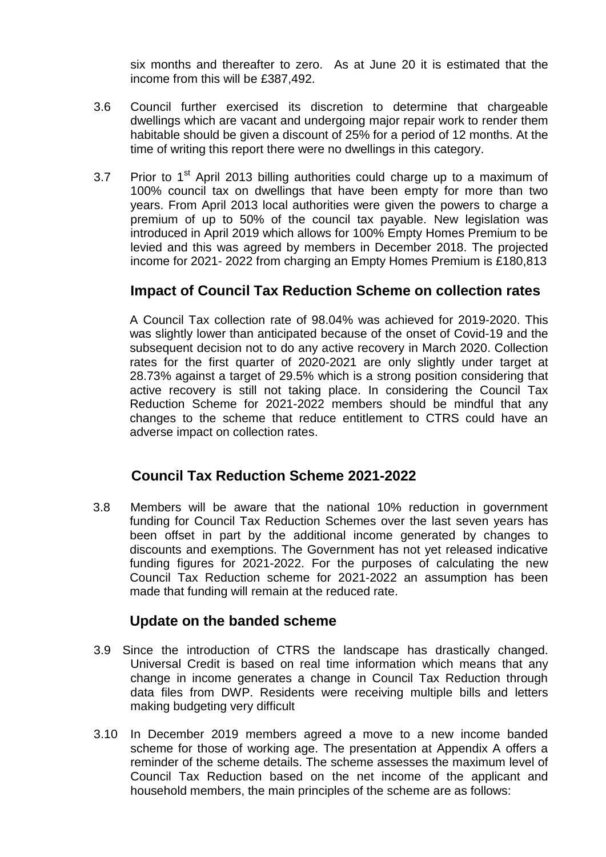six months and thereafter to zero. As at June 20 it is estimated that the income from this will be £387,492.

- 3.6 Council further exercised its discretion to determine that chargeable dwellings which are vacant and undergoing major repair work to render them habitable should be given a discount of 25% for a period of 12 months. At the time of writing this report there were no dwellings in this category.
- 3.7 Prior to  $1<sup>st</sup>$  April 2013 billing authorities could charge up to a maximum of 100% council tax on dwellings that have been empty for more than two years. From April 2013 local authorities were given the powers to charge a premium of up to 50% of the council tax payable. New legislation was introduced in April 2019 which allows for 100% Empty Homes Premium to be levied and this was agreed by members in December 2018. The projected income for 2021- 2022 from charging an Empty Homes Premium is £180,813

# **Impact of Council Tax Reduction Scheme on collection rates**

A Council Tax collection rate of 98.04% was achieved for 2019-2020. This was slightly lower than anticipated because of the onset of Covid-19 and the subsequent decision not to do any active recovery in March 2020. Collection rates for the first quarter of 2020-2021 are only slightly under target at 28.73% against a target of 29.5% which is a strong position considering that active recovery is still not taking place. In considering the Council Tax Reduction Scheme for 2021-2022 members should be mindful that any changes to the scheme that reduce entitlement to CTRS could have an adverse impact on collection rates.

### **Council Tax Reduction Scheme 2021-2022**

3.8 Members will be aware that the national 10% reduction in government funding for Council Tax Reduction Schemes over the last seven years has been offset in part by the additional income generated by changes to discounts and exemptions. The Government has not yet released indicative funding figures for 2021-2022. For the purposes of calculating the new Council Tax Reduction scheme for 2021-2022 an assumption has been made that funding will remain at the reduced rate.

### **Update on the banded scheme**

- 3.9 Since the introduction of CTRS the landscape has drastically changed. Universal Credit is based on real time information which means that any change in income generates a change in Council Tax Reduction through data files from DWP. Residents were receiving multiple bills and letters making budgeting very difficult
- 3.10 In December 2019 members agreed a move to a new income banded scheme for those of working age. The presentation at Appendix A offers a reminder of the scheme details. The scheme assesses the maximum level of Council Tax Reduction based on the net income of the applicant and household members, the main principles of the scheme are as follows: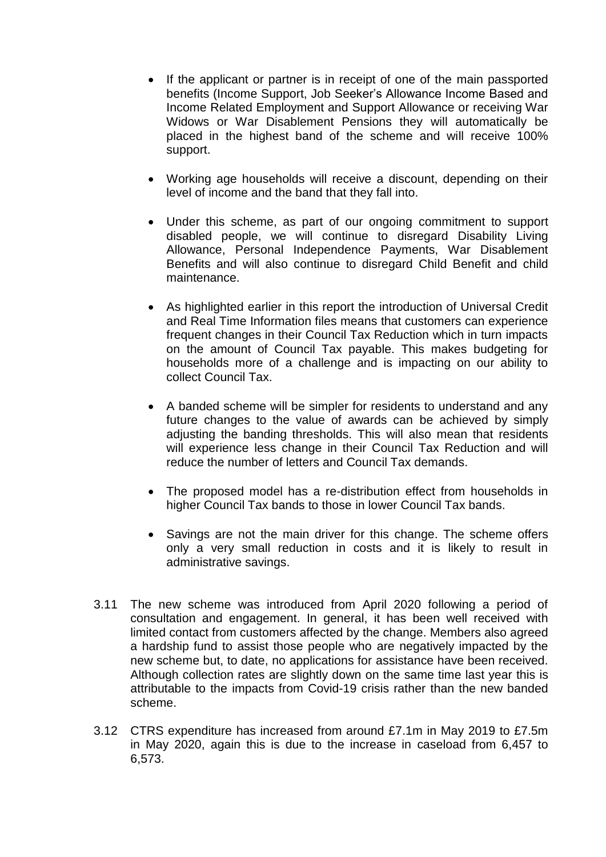- If the applicant or partner is in receipt of one of the main passported benefits (Income Support, Job Seeker's Allowance Income Based and Income Related Employment and Support Allowance or receiving War Widows or War Disablement Pensions they will automatically be placed in the highest band of the scheme and will receive 100% support.
- Working age households will receive a discount, depending on their level of income and the band that they fall into.
- Under this scheme, as part of our ongoing commitment to support disabled people, we will continue to disregard Disability Living Allowance, Personal Independence Payments, War Disablement Benefits and will also continue to disregard Child Benefit and child maintenance.
- As highlighted earlier in this report the introduction of Universal Credit and Real Time Information files means that customers can experience frequent changes in their Council Tax Reduction which in turn impacts on the amount of Council Tax payable. This makes budgeting for households more of a challenge and is impacting on our ability to collect Council Tax.
- A banded scheme will be simpler for residents to understand and any future changes to the value of awards can be achieved by simply adjusting the banding thresholds. This will also mean that residents will experience less change in their Council Tax Reduction and will reduce the number of letters and Council Tax demands.
- The proposed model has a re-distribution effect from households in higher Council Tax bands to those in lower Council Tax bands.
- Savings are not the main driver for this change. The scheme offers only a very small reduction in costs and it is likely to result in administrative savings.
- 3.11 The new scheme was introduced from April 2020 following a period of consultation and engagement. In general, it has been well received with limited contact from customers affected by the change. Members also agreed a hardship fund to assist those people who are negatively impacted by the new scheme but, to date, no applications for assistance have been received. Although collection rates are slightly down on the same time last year this is attributable to the impacts from Covid-19 crisis rather than the new banded scheme.
- 3.12 CTRS expenditure has increased from around £7.1m in May 2019 to £7.5m in May 2020, again this is due to the increase in caseload from 6,457 to 6,573.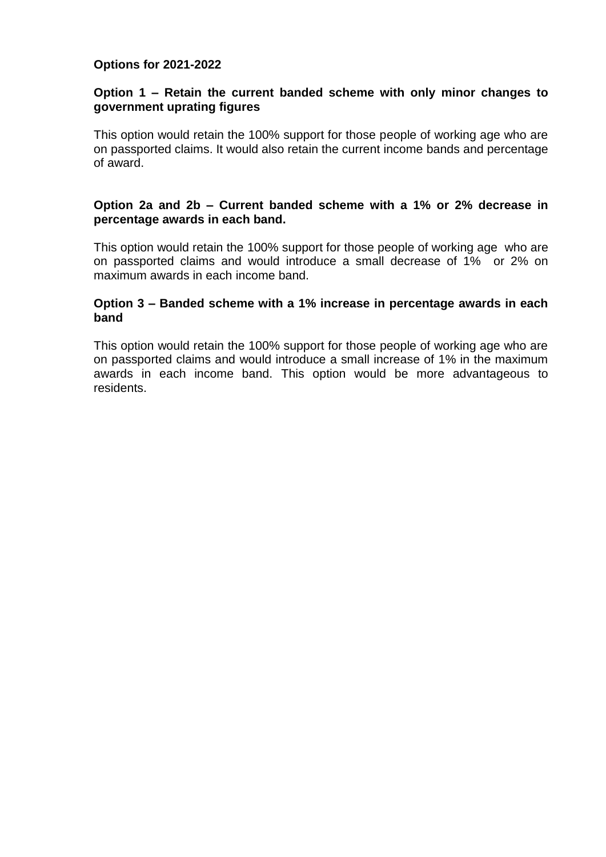#### **Options for 2021-2022**

#### **Option 1 – Retain the current banded scheme with only minor changes to government uprating figures**

This option would retain the 100% support for those people of working age who are on passported claims. It would also retain the current income bands and percentage of award.

#### **Option 2a and 2b – Current banded scheme with a 1% or 2% decrease in percentage awards in each band.**

This option would retain the 100% support for those people of working age who are on passported claims and would introduce a small decrease of 1% or 2% on maximum awards in each income band.

#### **Option 3 – Banded scheme with a 1% increase in percentage awards in each band**

This option would retain the 100% support for those people of working age who are on passported claims and would introduce a small increase of 1% in the maximum awards in each income band. This option would be more advantageous to residents.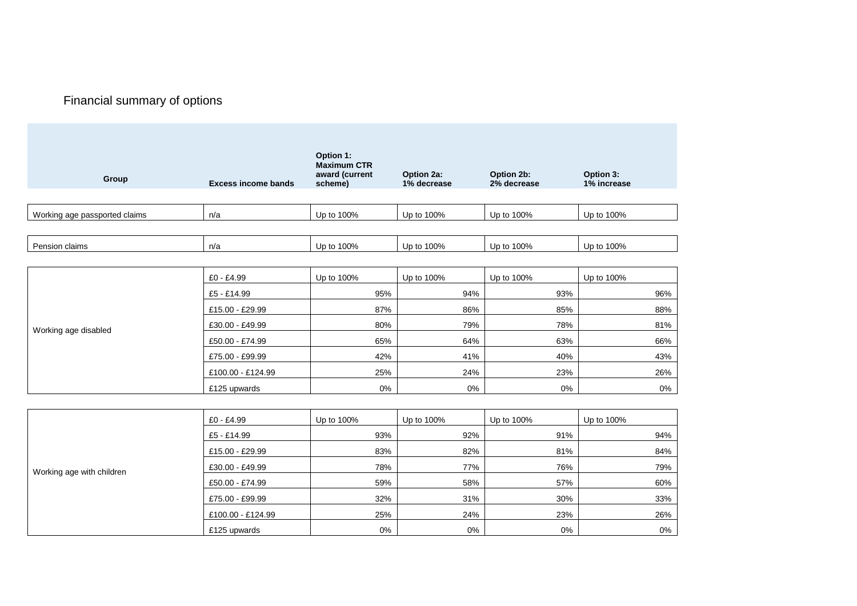# Financial summary of options

| Group                         | <b>Excess income bands</b> | Option 1:<br><b>Maximum CTR</b><br>award (current<br>scheme) | Option 2a:<br>1% decrease | Option 2b:<br>2% decrease | Option 3:<br>1% increase |
|-------------------------------|----------------------------|--------------------------------------------------------------|---------------------------|---------------------------|--------------------------|
| Working age passported claims | n/a                        | Up to 100%                                                   | Up to 100%                | Up to 100%                | Up to 100%               |
| Pension claims                | n/a                        | Up to 100%                                                   | Up to 100%                | Up to 100%                | Up to 100%               |
| Working age disabled          | £0 - £4.99                 | Up to 100%                                                   | Up to 100%                | Up to 100%                | Up to 100%               |
|                               | £5 - £14.99                | 95%                                                          | 94%                       | 93%                       | 96%                      |
|                               | £15.00 - £29.99            | 87%                                                          | 86%                       | 85%                       | 88%                      |
|                               | £30.00 - £49.99            | 80%                                                          | 79%                       | 78%                       | 81%                      |
|                               | £50.00 - £74.99            | 65%                                                          | 64%                       | 63%                       | 66%                      |
|                               | £75.00 - £99.99            | 42%                                                          | 41%                       | 40%                       | 43%                      |
|                               | £100.00 - £124.99          | 25%                                                          | 24%                       | 23%                       | 26%                      |
|                               | £125 upwards               | $0\%$                                                        | 0%                        | 0%                        | 0%                       |
|                               |                            |                                                              |                           |                           |                          |
| Working age with children     | £0 - £4.99                 | Up to 100%                                                   | Up to 100%                | Up to 100%                | Up to 100%               |
|                               | £5 - £14.99                | 93%                                                          | 92%                       | 91%                       | 94%                      |
|                               | £15.00 - £29.99            | 83%                                                          | 82%                       | 81%                       | 84%                      |
|                               | £30.00 - £49.99            | 78%                                                          | 77%                       | 76%                       | 79%                      |
|                               | £50.00 - £74.99            | 59%                                                          | 58%                       | 57%                       | 60%                      |
|                               | £75.00 - £99.99            | 32%                                                          | 31%                       | 30%                       | 33%                      |
|                               | £100.00 - £124.99          | 25%                                                          | 24%                       | 23%                       | 26%                      |
|                               | £125 upwards               | 0%                                                           | 0%                        | 0%                        | 0%                       |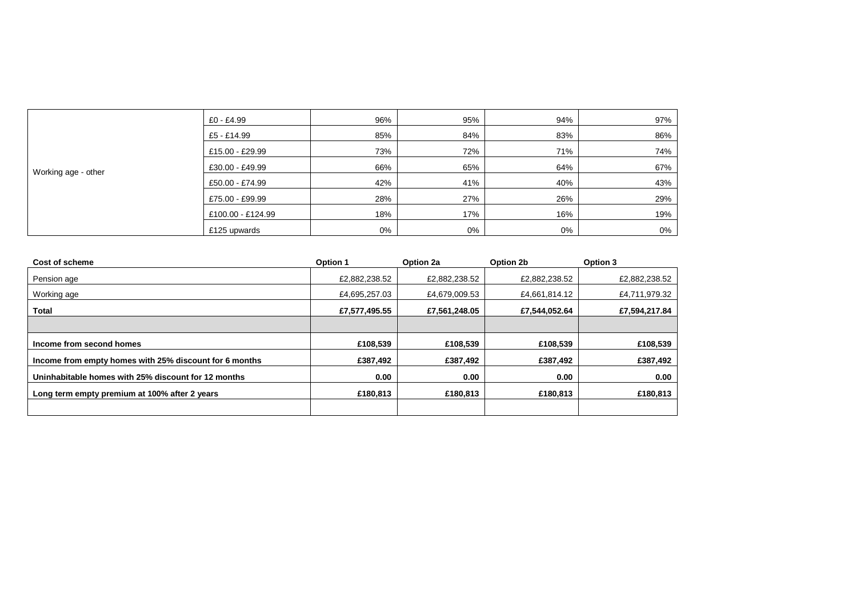|                     | £0 - £4.99        | 96% | 95% | 94% | 97% |
|---------------------|-------------------|-----|-----|-----|-----|
|                     | £5 - £14.99       | 85% | 84% | 83% | 86% |
|                     |                   |     |     |     |     |
| Working age - other | £15.00 - £29.99   | 73% | 72% | 71% | 74% |
|                     | £30.00 - £49.99   | 66% | 65% | 64% | 67% |
|                     | £50.00 - £74.99   | 42% | 41% | 40% | 43% |
|                     | £75.00 - £99.99   | 28% | 27% | 26% | 29% |
|                     | £100.00 - £124.99 | 18% | 17% | 16% | 19% |
|                     | £125 upwards      | 0%  | 0%  | 0%  | 0%  |

| Cost of scheme                                         | Option 1      | Option 2a     | Option 2b     | Option 3      |
|--------------------------------------------------------|---------------|---------------|---------------|---------------|
| Pension age                                            | £2,882,238.52 | £2,882,238.52 | £2,882,238.52 | £2,882,238.52 |
| Working age                                            | £4,695,257.03 | £4,679,009.53 | £4,661,814.12 | £4,711,979.32 |
| <b>Total</b>                                           | £7,577,495.55 | £7,561,248.05 | £7,544,052.64 | £7,594,217.84 |
|                                                        |               |               |               |               |
| Income from second homes                               | £108,539      | £108,539      | £108.539      | £108,539      |
| Income from empty homes with 25% discount for 6 months | £387,492      | £387,492      | £387,492      | £387,492      |
| Uninhabitable homes with 25% discount for 12 months    | 0.00          | 0.00          | 0.00          | 0.00          |
| Long term empty premium at 100% after 2 years          | £180,813      | £180,813      | £180,813      | £180,813      |
|                                                        |               |               |               |               |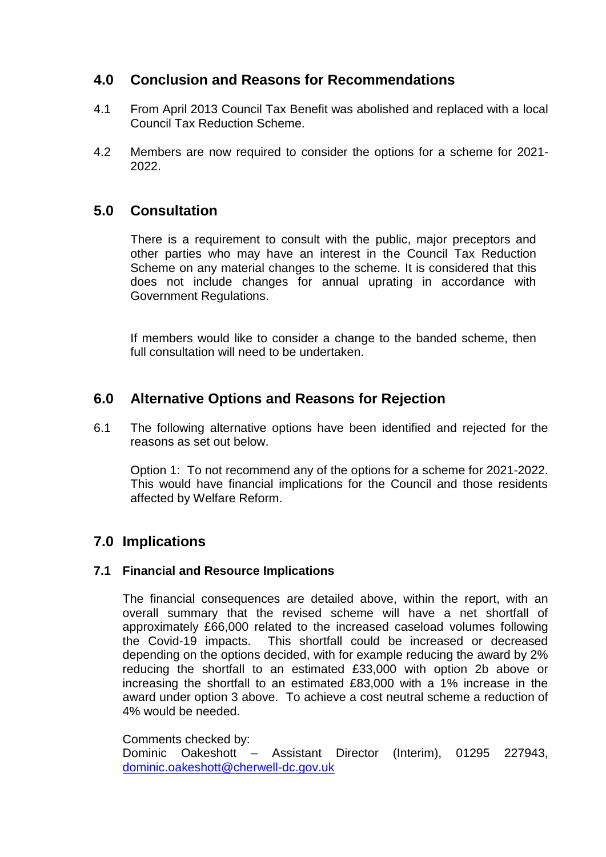# **4.0 Conclusion and Reasons for Recommendations**

- 4.1 From April 2013 Council Tax Benefit was abolished and replaced with a local Council Tax Reduction Scheme.
- 4.2 Members are now required to consider the options for a scheme for 2021- 2022.

# **5.0 Consultation**

There is a requirement to consult with the public, major preceptors and other parties who may have an interest in the Council Tax Reduction Scheme on any material changes to the scheme. It is considered that this does not include changes for annual uprating in accordance with Government Regulations.

If members would like to consider a change to the banded scheme, then full consultation will need to be undertaken.

### **6.0 Alternative Options and Reasons for Rejection**

6.1 The following alternative options have been identified and rejected for the reasons as set out below.

Option 1: To not recommend any of the options for a scheme for 2021-2022. This would have financial implications for the Council and those residents affected by Welfare Reform.

# **7.0 Implications**

### **7.1 Financial and Resource Implications**

The financial consequences are detailed above, within the report, with an overall summary that the revised scheme will have a net shortfall of approximately £66,000 related to the increased caseload volumes following the Covid-19 impacts. This shortfall could be increased or decreased depending on the options decided, with for example reducing the award by 2% reducing the shortfall to an estimated £33,000 with option 2b above or increasing the shortfall to an estimated £83,000 with a 1% increase in the award under option 3 above. To achieve a cost neutral scheme a reduction of 4% would be needed.

Comments checked by: Dominic Oakeshott – Assistant Director (Interim), 01295 227943, [dominic.oakeshott@cherwell-dc.gov.uk](mailto:dominic.oakeshott@cherwell-dc.gov.uk)